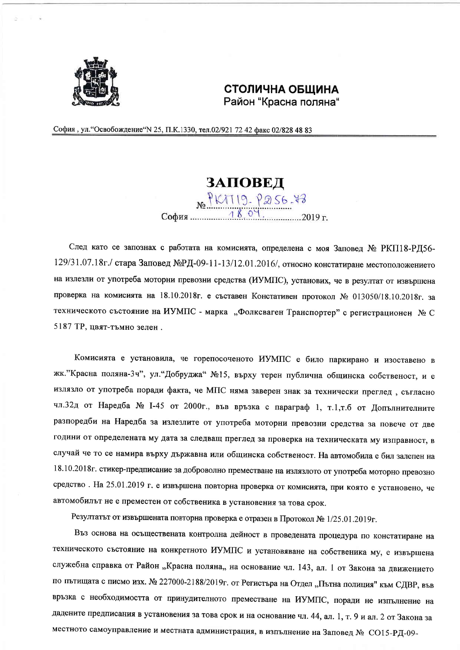

## СТОЛИЧНА ОБЩИНА Район "Красна поляна"

София, ул. "Освобождение "N 25, П.К. 1330, тел. 02/921 72 42 факс 02/828 48 83

**3ATOBE** 

След като се запознах с работата на комисията, определена с моя Заповед № РКП18-РД56-129/31.07.18г./ стара Заповед №РД-09-11-13/12.01.2016/, относно констатиране местоположението на излезли от употреба моторни превозни средства (ИУМПС), установих, че в резултат от извършена проверка на комисията на 18.10.2018г. е съставен Констативен протокол № 013050/18.10.2018г. за техническото състояние на ИУМПС - марка "Фолксваген Транспортер" с регистрационен № С 5187 ТР, цвят-тъмно зелен.

Комисията е установила, че горепосоченото ИУМПС е било паркирано и изоставено в жк. "Красна поляна-3ч", ул. "Добруджа" №15, върху терен публична общинска собственост, и е излязло от употреба поради факта, че МПС няма заверен знак за технически преглед, съгласно чл.32д от Наредба № 1-45 от 2000г., във връзка с параграф 1, т.1,т.б от Допълнителните разпоредби на Наредба за излезлите от употреба моторни превозни средства за повече от две години от определената му дата за следващ преглед за проверка на техническата му изправност, в случай че то се намира върху държавна или общинска собственост. На автомобила е бил залепен на 18.10.2018г. стикер-предписание за доброволно преместване на излязлото от употреба моторно превозно средство. На 25.01.2019 г. е извършена повторна проверка от комисията, при която е установено, че автомобилът не е преместен от собственика в установения за това срок.

Резултатът от извършената повторна проверка е отразен в Протокол № 1/25.01.2019г.

Въз основа на осъществената контролна дейност в проведената процедура по констатиране на техническото състояние на конкретното ИУМПС и установяване на собственика му, е извършена служебна справка от Район "Красна поляна,, на основание чл. 143, ал. 1 от Закона за движението по пътищата с писмо изх. № 227000-2188/2019г. от Регистъра на Отдел "Пътна полиция" към СДВР, във връзка с необходимостта от принудителното преместване на ИУМПС, поради не изпълнение на дадените предписания в установения за това срок и на основание чл. 44, ал. 1, т. 9 и ал. 2 от Закона за местното самоуправление и местната администрация, в изпълнение на Заповед № СО15-РД-09